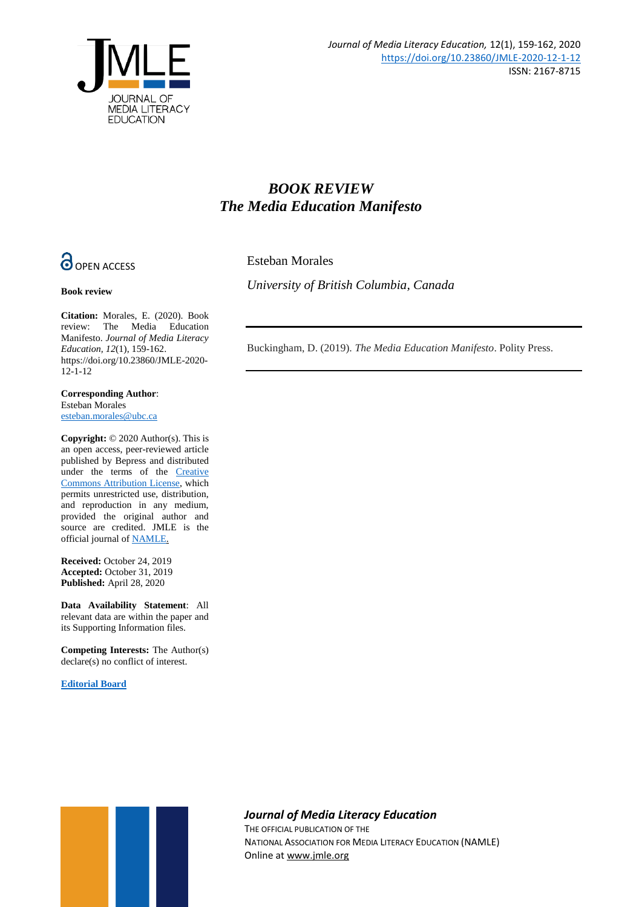

## *BOOK REVIEW The Media Education Manifesto*

**O** OPEN ACCESS

**Book review**

Esteban Morales

*University of British Columbia, Canada*

**Citation:** Morales, E. (2020). Book review: The Media Education Manifesto. *Journal of Media Literacy Education, 12*(1), 159-162. https://doi.org/10.23860/JMLE-2020- 12-1-12

**Corresponding Author**: Esteban Morales [esteban.morales@ubc.ca](mailto:esteban.morales@ubc.ca)

**Copyright:** © 2020 Author(s). This is an open access, peer-reviewed article published by Bepress and distributed under the terms of the [Creative](https://creativecommons.org/licenses/by/4.0/)  [Commons Attribution License,](https://creativecommons.org/licenses/by/4.0/) which permits unrestricted use, distribution, and reproduction in any medium, provided the original author and source are credited. JMLE is the official journal o[f NAMLE.](https://namle.net/)

**Received:** October 24, 2019 **Accepted:** October 31, 2019 **Published:** April 28, 2020

**Data Availability Statement**: All relevant data are within the paper and its Supporting Information files.

**Competing Interests:** The Author(s) declare(s) no conflict of interest.

**[Editorial Board](https://digitalcommons.uri.edu/jmle/editorialboard.html)**

Buckingham, D. (2019). *The Media Education Manifesto*. Polity Press.



## *Journal of Media Literacy Education*

THE OFFICIAL PUBLICATION OF THE NATIONAL ASSOCIATION FOR MEDIA LITERACY EDUCATION (NAMLE) Online at [www.jmle.org](http://www.jmle.org/)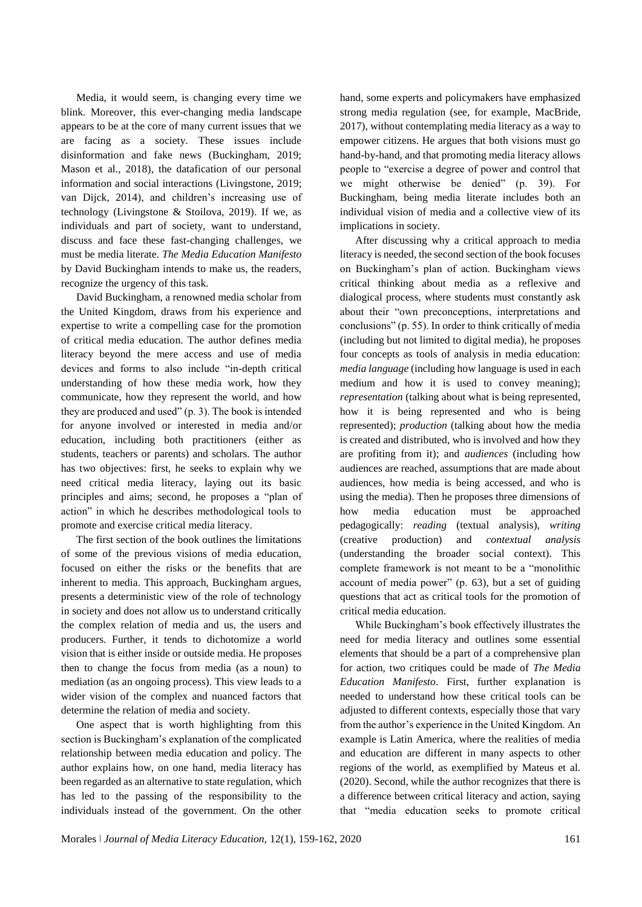Media, it would seem, is changing every time we blink. Moreover, this ever-changing media landscape appears to be at the core of many current issues that we are facing as a society. These issues include disinformation and fake news (Buckingham, 2019; Mason et al., 2018), the datafication of our personal information and social interactions (Livingstone, 2019; van Dijck, 2014), and children's increasing use of technology (Livingstone & Stoilova, 2019). If we, as individuals and part of society, want to understand, discuss and face these fast-changing challenges, we must be media literate. *The Media Education Manifesto* by David Buckingham intends to make us, the readers, recognize the urgency of this task.

David Buckingham, a renowned media scholar from the United Kingdom, draws from his experience and expertise to write a compelling case for the promotion of critical media education. The author defines media literacy beyond the mere access and use of media devices and forms to also include "in-depth critical understanding of how these media work, how they communicate, how they represent the world, and how they are produced and used" (p. 3). The book is intended for anyone involved or interested in media and/or education, including both practitioners (either as students, teachers or parents) and scholars. The author has two objectives: first, he seeks to explain why we need critical media literacy, laying out its basic principles and aims; second, he proposes a "plan of action" in which he describes methodological tools to promote and exercise critical media literacy.

The first section of the book outlines the limitations of some of the previous visions of media education, focused on either the risks or the benefits that are inherent to media. This approach, Buckingham argues, presents a deterministic view of the role of technology in society and does not allow us to understand critically the complex relation of media and us, the users and producers. Further, it tends to dichotomize a world vision that is either inside or outside media. He proposes then to change the focus from media (as a noun) to mediation (as an ongoing process). This view leads to a wider vision of the complex and nuanced factors that determine the relation of media and society.

One aspect that is worth highlighting from this section is Buckingham's explanation of the complicated relationship between media education and policy. The author explains how, on one hand, media literacy has been regarded as an alternative to state regulation, which has led to the passing of the responsibility to the individuals instead of the government. On the other

hand, some experts and policymakers have emphasized strong media regulation (see, for example, MacBride, 2017), without contemplating media literacy as a way to empower citizens. He argues that both visions must go hand-by-hand, and that promoting media literacy allows people to "exercise a degree of power and control that we might otherwise be denied" (p. 39). For Buckingham, being media literate includes both an individual vision of media and a collective view of its implications in society.

After discussing why a critical approach to media literacy is needed, the second section of the book focuses on Buckingham's plan of action. Buckingham views critical thinking about media as a reflexive and dialogical process, where students must constantly ask about their "own preconceptions, interpretations and conclusions" (p. 55). In order to think critically of media (including but not limited to digital media), he proposes four concepts as tools of analysis in media education: *media language* (including how language is used in each medium and how it is used to convey meaning); *representation* (talking about what is being represented, how it is being represented and who is being represented); *production* (talking about how the media is created and distributed, who is involved and how they are profiting from it); and *audiences* (including how audiences are reached, assumptions that are made about audiences, how media is being accessed, and who is using the media). Then he proposes three dimensions of how media education must be approached pedagogically: *reading* (textual analysis), *writing* (creative production) and *contextual analysis* (understanding the broader social context). This complete framework is not meant to be a "monolithic account of media power" (p. 63), but a set of guiding questions that act as critical tools for the promotion of critical media education.

While Buckingham's book effectively illustrates the need for media literacy and outlines some essential elements that should be a part of a comprehensive plan for action, two critiques could be made of *The Media Education Manifesto*. First, further explanation is needed to understand how these critical tools can be adjusted to different contexts, especially those that vary from the author's experience in the United Kingdom. An example is Latin America, where the realities of media and education are different in many aspects to other regions of the world, as exemplified by Mateus et al. (2020). Second, while the author recognizes that there is a difference between critical literacy and action, saying that "media education seeks to promote critical